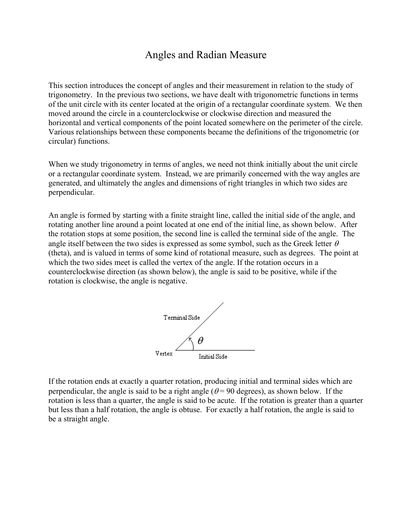## Angles and Radian Measure

This section introduces the concept of angles and their measurement in relation to the study of trigonometry. In the previous two sections, we have dealt with trigonometric functions in terms of the unit circle with its center located at the origin of a rectangular coordinate system. We then moved around the circle in a counterclockwise or clockwise direction and measured the horizontal and vertical components of the point located somewhere on the perimeter of the circle. Various relationships between these components became the definitions of the trigonometric (or circular) functions.

When we study trigonometry in terms of angles, we need not think initially about the unit circle or a rectangular coordinate system. Instead, we are primarily concerned with the way angles are generated, and ultimately the angles and dimensions of right triangles in which two sides are perpendicular.

An angle is formed by starting with a finite straight line, called the initial side of the angle, and rotating another line around a point located at one end of the initial line, as shown below. After the rotation stops at some position, the second line is called the terminal side of the angle. The angle itself between the two sides is expressed as some symbol, such as the Greek letter  $\theta$ (theta), and is valued in terms of some kind of rotational measure, such as degrees. The point at which the two sides meet is called the vertex of the angle. If the rotation occurs in a counterclockwise direction (as shown below), the angle is said to be positive, while if the rotation is clockwise, the angle is negative.



If the rotation ends at exactly a quarter rotation, producing initial and terminal sides which are perpendicular, the angle is said to be a right angle ( $\theta$  = 90 degrees), as shown below. If the rotation is less than a quarter, the angle is said to be acute. If the rotation is greater than a quarter but less than a half rotation, the angle is obtuse. For exactly a half rotation, the angle is said to be a straight angle.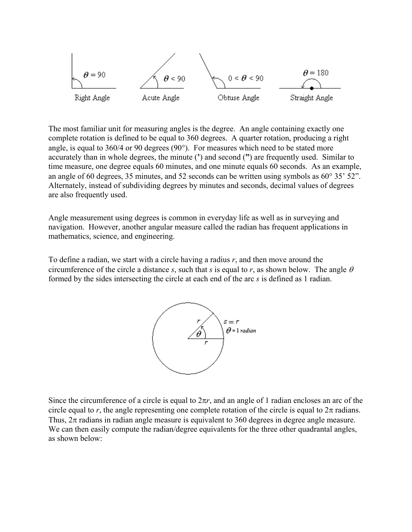

The most familiar unit for measuring angles is the degree. An angle containing exactly one complete rotation is defined to be equal to 360 degrees. A quarter rotation, producing a right angle, is equal to 360/4 or 90 degrees (90°). For measures which need to be stated more accurately than in whole degrees, the minute (**'**) and second (**"**) are frequently used. Similar to time measure, one degree equals 60 minutes, and one minute equals 60 seconds. As an example, an angle of 60 degrees, 35 minutes, and 52 seconds can be written using symbols as 60° 35' 52". Alternately, instead of subdividing degrees by minutes and seconds, decimal values of degrees are also frequently used.

Angle measurement using degrees is common in everyday life as well as in surveying and navigation. However, another angular measure called the radian has frequent applications in mathematics, science, and engineering.

To define a radian, we start with a circle having a radius *r*, and then move around the circumference of the circle a distance *s*, such that *s* is equal to *r*, as shown below. The angle  $\theta$ formed by the sides intersecting the circle at each end of the arc *s* is defined as 1 radian.



Since the circumference of a circle is equal to  $2\pi r$ , and an angle of 1 radian encloses an arc of the circle equal to *r*, the angle representing one complete rotation of the circle is equal to  $2\pi$  radians. Thus,  $2\pi$  radians in radian angle measure is equivalent to 360 degrees in degree angle measure. We can then easily compute the radian/degree equivalents for the three other quadrantal angles, as shown below: